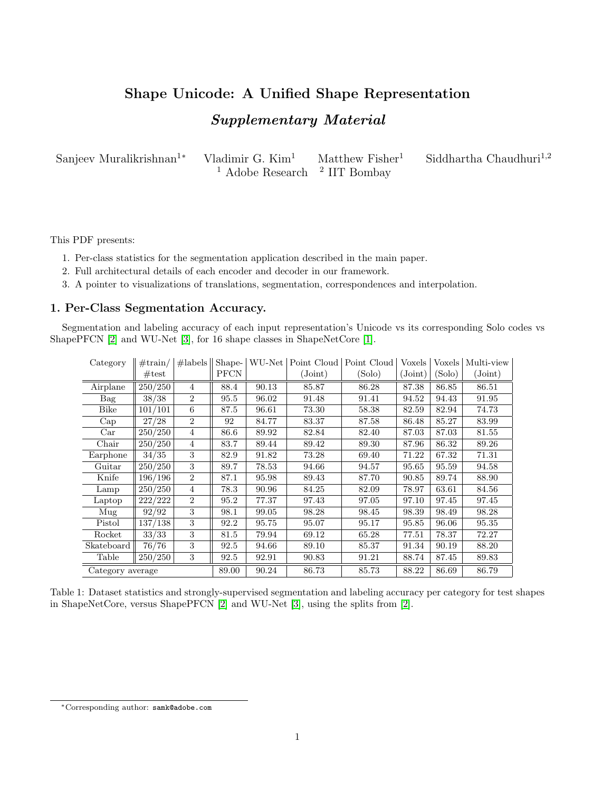# <span id="page-0-0"></span>Shape Unicode: A Unified Shape Representation Supplementary Material

| Sanjeev Muralikrishnan <sup>1*</sup> Vladimir G. Kim <sup>1</sup> |                                                     | $\text{Matthev Fisher}^1$ | Siddhartha Chaudhuri <sup>1,2</sup> |
|-------------------------------------------------------------------|-----------------------------------------------------|---------------------------|-------------------------------------|
|                                                                   | <sup>1</sup> Adobe Research <sup>2</sup> IIT Bombay |                           |                                     |

This PDF presents:

- 1. Per-class statistics for the segmentation application described in the main paper.
- 2. Full architectural details of each encoder and decoder in our framework.
- 3. A pointer to visualizations of translations, segmentation, correspondences and interpolation.

## 1. Per-Class Segmentation Accuracy.

Segmentation and labeling accuracy of each input representation's Unicode vs its corresponding Solo codes vs ShapePFCN [\[2\]](#page-3-0) and WU-Net [\[3\]](#page-3-1), for 16 shape classes in ShapeNetCore [\[1\]](#page-3-2).

| Category         | $\#train/$      | #labels          | Shape-      |       |                    | WU-Net Point Cloud Point Cloud | Voxels  | Voxels | Multi-view |
|------------------|-----------------|------------------|-------------|-------|--------------------|--------------------------------|---------|--------|------------|
|                  | $\#\text{test}$ |                  | <b>PFCN</b> |       | $(\mathrm{Joint})$ | (Solo)                         | (Joint) | (Solo) | (Joint)    |
| Airplane         | 250/250         | $\overline{4}$   | 88.4        | 90.13 | 85.87              | 86.28                          | 87.38   | 86.85  | 86.51      |
| Bag              | 38/38           | $\overline{2}$   | 95.5        | 96.02 | 91.48              | 91.41                          | 94.52   | 94.43  | 91.95      |
| <b>Bike</b>      | 101/101         | 6                | 87.5        | 96.61 | 73.30              | 58.38                          | 82.59   | 82.94  | 74.73      |
| Cap              | $\frac{27}{28}$ | $\overline{2}$   | 92          | 84.77 | 83.37              | 87.58                          | 86.48   | 85.27  | 83.99      |
| Car              | 250/250         | $\overline{4}$   | 86.6        | 89.92 | 82.84              | 82.40                          | 87.03   | 87.03  | 81.55      |
| Chair            | 250/250         | $\overline{4}$   | 83.7        | 89.44 | 89.42              | 89.30                          | 87.96   | 86.32  | 89.26      |
| Earphone         | 34/35           | 3                | 82.9        | 91.82 | 73.28              | 69.40                          | 71.22   | 67.32  | 71.31      |
| Guitar           | 250/250         | 3                | 89.7        | 78.53 | 94.66              | 94.57                          | 95.65   | 95.59  | 94.58      |
| Knife            | 196/196         | $\overline{2}$   | 87.1        | 95.98 | 89.43              | 87.70                          | 90.85   | 89.74  | 88.90      |
| Lamp             | 250/250         | $\overline{4}$   | 78.3        | 90.96 | 84.25              | 82.09                          | 78.97   | 63.61  | 84.56      |
| Laptop           | 222/222         | $\overline{2}$   | 95.2        | 77.37 | 97.43              | 97.05                          | 97.10   | 97.45  | 97.45      |
| Mug              | 92/92           | 3                | 98.1        | 99.05 | 98.28              | 98.45                          | 98.39   | 98.49  | 98.28      |
| Pistol           | 137/138         | 3                | 92.2        | 95.75 | 95.07              | 95.17                          | 95.85   | 96.06  | 95.35      |
| Rocket           | 33/33           | 3                | 81.5        | 79.94 | 69.12              | 65.28                          | 77.51   | 78.37  | 72.27      |
| Skateboard       | 76/76           | 3                | 92.5        | 94.66 | 89.10              | 85.37                          | 91.34   | 90.19  | 88.20      |
| Table            | 250/250         | $\boldsymbol{3}$ | 92.5        | 92.91 | 90.83              | 91.21                          | 88.74   | 87.45  | 89.83      |
| Category average |                 | 89.00            | 90.24       | 86.73 | 85.73              | 88.22                          | 86.69   | 86.79  |            |

Table 1: Dataset statistics and strongly-supervised segmentation and labeling accuracy per category for test shapes in ShapeNetCore, versus ShapePFCN [\[2\]](#page-3-0) and WU-Net [\[3\]](#page-3-1), using the splits from [\[2\]](#page-3-0).

<sup>∗</sup>Corresponding author: samk@adobe.com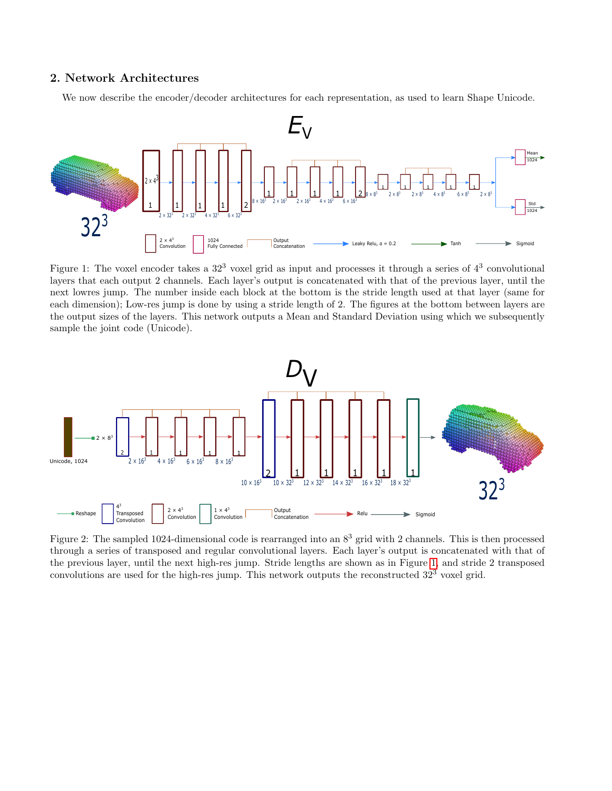## 2. Network Architectures

We now describe the encoder/decoder architectures for each representation, as used to learn Shape Unicode.

<span id="page-1-0"></span>

Figure 1: The voxel encoder takes a  $32<sup>3</sup>$  voxel grid as input and processes it through a series of  $4<sup>3</sup>$  convolutional layers that each output 2 channels. Each layer's output is concatenated with that of the previous layer, until the next lowres jump. The number inside each block at the bottom is the stride length used at that layer (same for each dimension); Low-res jump is done by using a stride length of 2. The figures at the bottom between layers are the output sizes of the layers. This network outputs a Mean and Standard Deviation using which we subsequently sample the joint code (Unicode).



Figure 2: The sampled 1024-dimensional code is rearranged into an  $8<sup>3</sup>$  grid with 2 channels. This is then processed through a series of transposed and regular convolutional layers. Each layer's output is concatenated with that of the previous layer, until the next high-res jump. Stride lengths are shown as in Figure [1,](#page-1-0) and stride 2 transposed convolutions are used for the high-res jump. This network outputs the reconstructed  $32<sup>3</sup>$  voxel grid.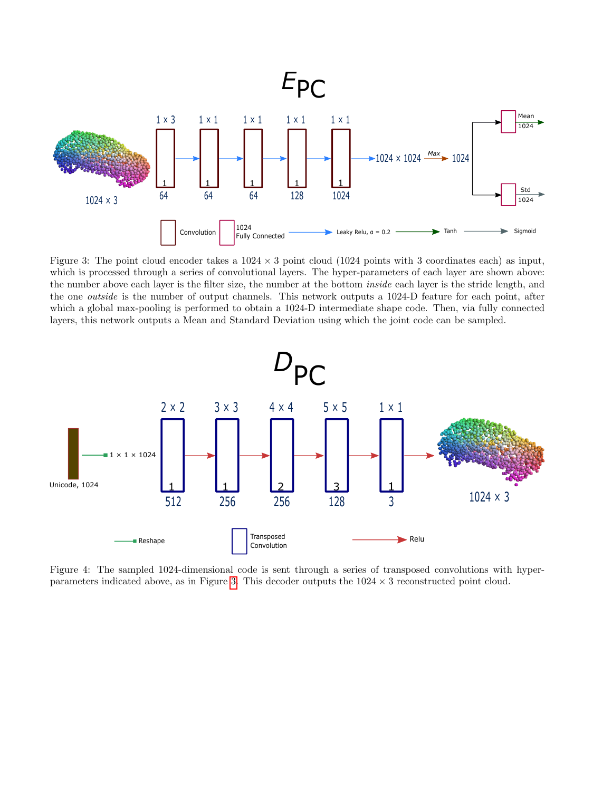<span id="page-2-0"></span>

Figure 3: The point cloud encoder takes a  $1024 \times 3$  point cloud (1024 points with 3 coordinates each) as input, which is processed through a series of convolutional layers. The hyper-parameters of each layer are shown above: the number above each layer is the filter size, the number at the bottom inside each layer is the stride length, and the one outside is the number of output channels. This network outputs a 1024-D feature for each point, after which a global max-pooling is performed to obtain a 1024-D intermediate shape code. Then, via fully connected layers, this network outputs a Mean and Standard Deviation using which the joint code can be sampled.



Figure 4: The sampled 1024-dimensional code is sent through a series of transposed convolutions with hyper-parameters indicated above, as in Figure [3.](#page-2-0) This decoder outputs the  $1024 \times 3$  reconstructed point cloud.